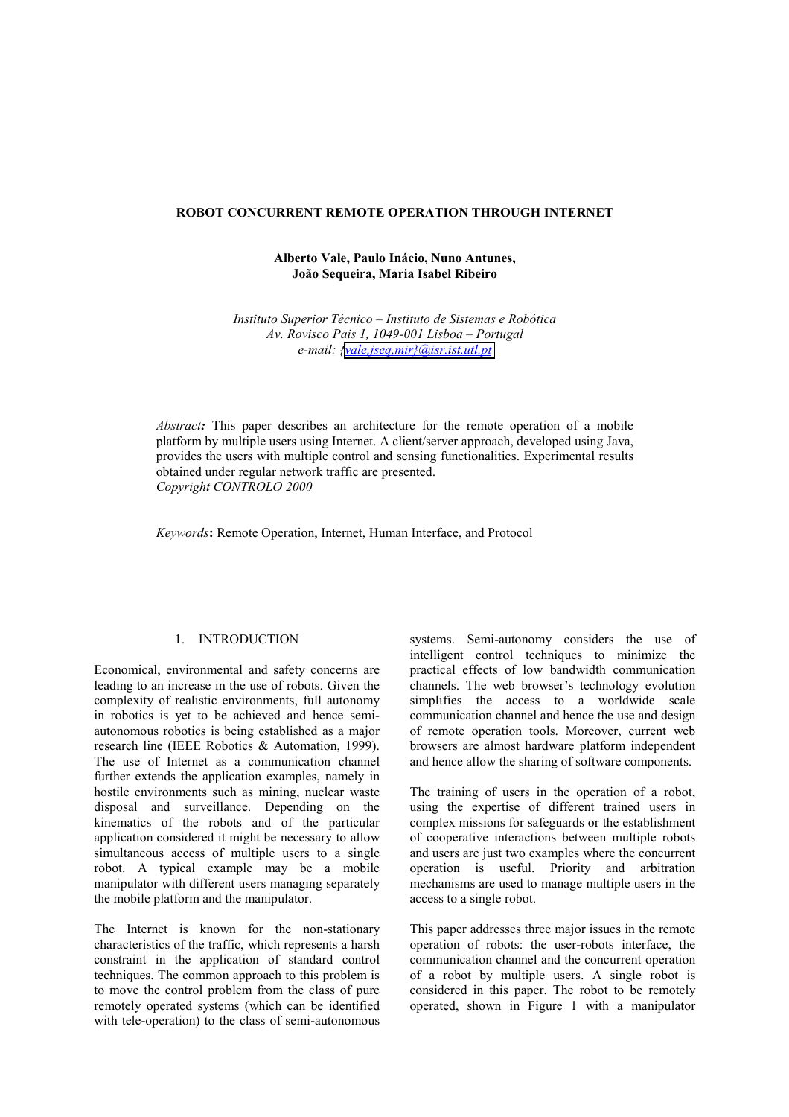#### **ROBOT CONCURRENT REMOTE OPERATION THROUGH INTERNET**

# **Alberto Vale, Paulo Inácio, Nuno Antunes, João Sequeira, Maria Isabel Ribeiro**

*Instituto Superior Técnico – Instituto de Sistemas e Robótica Av. Rovisco Pais 1, 1049-001 Lisboa – Portugal e-mail: [{vale,jseq,mir}@isr.ist.utl.pt](mailto:vale@isr.ist.utl.pt)*

*Abstract:* This paper describes an architecture for the remote operation of a mobile platform by multiple users using Internet. A client/server approach, developed using Java, provides the users with multiple control and sensing functionalities. Experimental results obtained under regular network traffic are presented. *Copyright CONTROLO 2000*

*Keywords***:** Remote Operation, Internet, Human Interface, and Protocol

# 1. INTRODUCTION

Economical, environmental and safety concerns are leading to an increase in the use of robots. Given the complexity of realistic environments, full autonomy in robotics is yet to be achieved and hence semiautonomous robotics is being established as a major research line (IEEE Robotics & Automation, 1999). The use of Internet as a communication channel further extends the application examples, namely in hostile environments such as mining, nuclear waste disposal and surveillance. Depending on the kinematics of the robots and of the particular application considered it might be necessary to allow simultaneous access of multiple users to a single robot. A typical example may be a mobile manipulator with different users managing separately the mobile platform and the manipulator.

The Internet is known for the non-stationary characteristics of the traffic, which represents a harsh constraint in the application of standard control techniques. The common approach to this problem is to move the control problem from the class of pure remotely operated systems (which can be identified with tele-operation) to the class of semi-autonomous

systems. Semi-autonomy considers the use of intelligent control techniques to minimize the practical effects of low bandwidth communication channels. The web browser's technology evolution simplifies the access to a worldwide scale communication channel and hence the use and design of remote operation tools. Moreover, current web browsers are almost hardware platform independent and hence allow the sharing of software components.

The training of users in the operation of a robot, using the expertise of different trained users in complex missions for safeguards or the establishment of cooperative interactions between multiple robots and users are just two examples where the concurrent operation is useful. Priority and arbitration mechanisms are used to manage multiple users in the access to a single robot.

This paper addresses three major issues in the remote operation of robots: the user-robots interface, the communication channel and the concurrent operation of a robot by multiple users. A single robot is considered in this paper. The robot to be remotely operated, shown in Figure 1 with a manipulator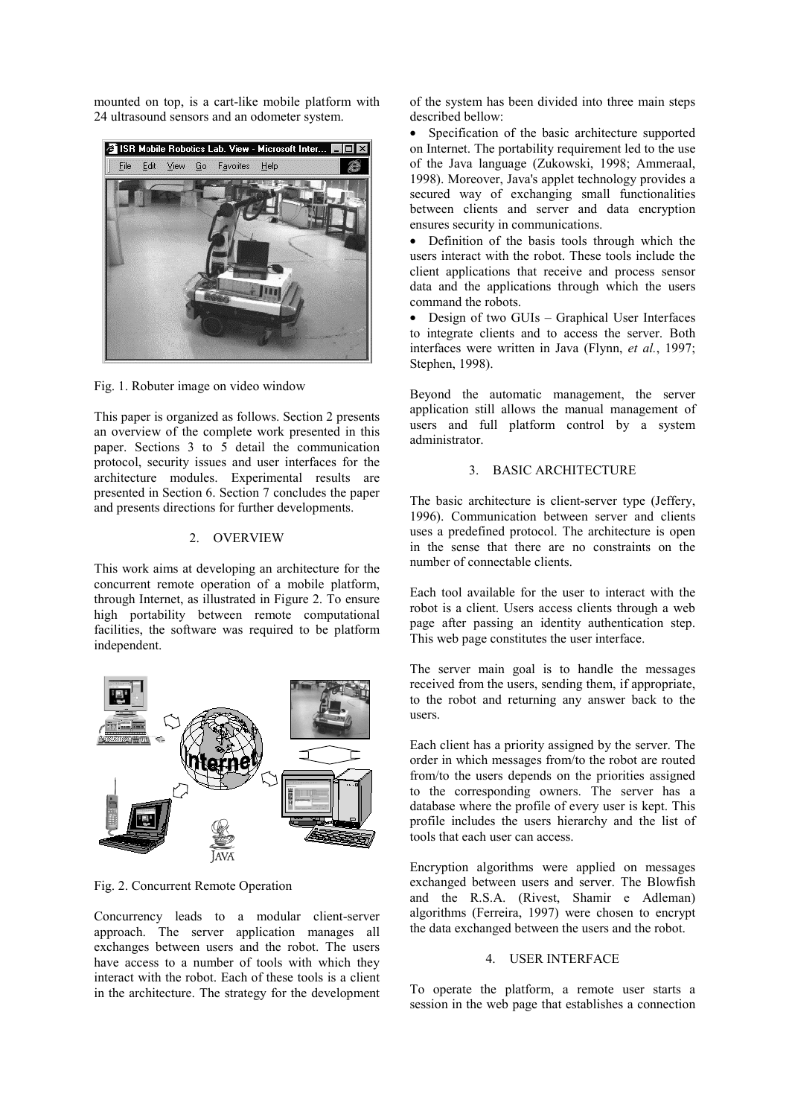mounted on top, is a cart-like mobile platform with 24 ultrasound sensors and an odometer system.



Fig. 1. Robuter image on video window

This paper is organized as follows. Section 2 presents an overview of the complete work presented in this paper. Sections 3 to 5 detail the communication protocol, security issues and user interfaces for the architecture modules. Experimental results are presented in Section 6. Section 7 concludes the paper and presents directions for further developments.

# 2. OVERVIEW

This work aims at developing an architecture for the concurrent remote operation of a mobile platform, through Internet, as illustrated in Figure 2. To ensure high portability between remote computational facilities, the software was required to be platform independent.



Fig. 2. Concurrent Remote Operation

Concurrency leads to a modular client-server approach. The server application manages all exchanges between users and the robot. The users have access to a number of tools with which they interact with the robot. Each of these tools is a client in the architecture. The strategy for the development of the system has been divided into three main steps described bellow:

Specification of the basic architecture supported on Internet. The portability requirement led to the use of the Java language (Zukowski, 1998; Ammeraal, 1998). Moreover, Java's applet technology provides a secured way of exchanging small functionalities between clients and server and data encryption ensures security in communications.

• Definition of the basis tools through which the users interact with the robot. These tools include the client applications that receive and process sensor data and the applications through which the users command the robots.

Design of two GUIs – Graphical User Interfaces to integrate clients and to access the server. Both interfaces were written in Java (Flynn, *et al.*, 1997; Stephen, 1998).

Beyond the automatic management, the server application still allows the manual management of users and full platform control by a system administrator.

# 3. BASIC ARCHITECTURE

The basic architecture is client-server type (Jeffery, 1996). Communication between server and clients uses a predefined protocol. The architecture is open in the sense that there are no constraints on the number of connectable clients.

Each tool available for the user to interact with the robot is a client. Users access clients through a web page after passing an identity authentication step. This web page constitutes the user interface.

The server main goal is to handle the messages received from the users, sending them, if appropriate, to the robot and returning any answer back to the users.

Each client has a priority assigned by the server. The order in which messages from/to the robot are routed from/to the users depends on the priorities assigned to the corresponding owners. The server has a database where the profile of every user is kept. This profile includes the users hierarchy and the list of tools that each user can access.

Encryption algorithms were applied on messages exchanged between users and server. The Blowfish and the R.S.A. (Rivest, Shamir e Adleman) algorithms (Ferreira, 1997) were chosen to encrypt the data exchanged between the users and the robot.

## 4. USER INTERFACE

To operate the platform, a remote user starts a session in the web page that establishes a connection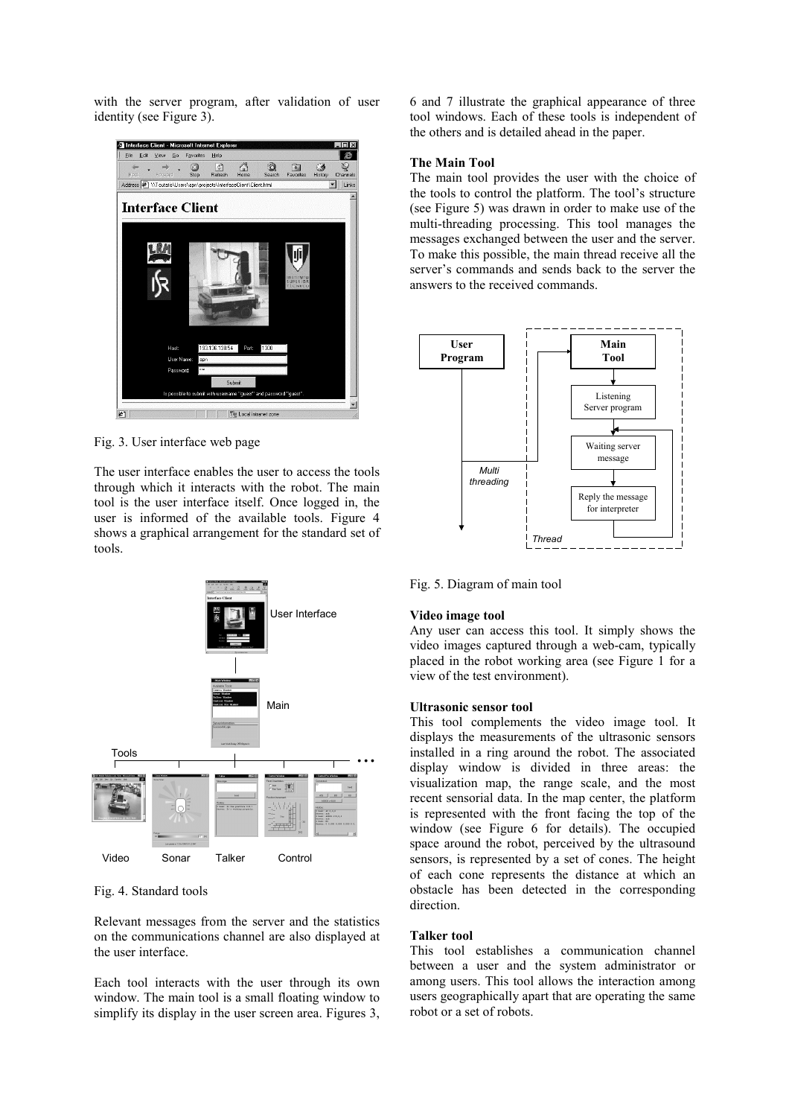with the server program, after validation of user identity (see Figure 3).



Fig. 3. User interface web page

The user interface enables the user to access the tools through which it interacts with the robot. The main tool is the user interface itself. Once logged in, the user is informed of the available tools. Figure 4 shows a graphical arrangement for the standard set of tools.



Fig. 4. Standard tools

Relevant messages from the server and the statistics on the communications channel are also displayed at the user interface.

Each tool interacts with the user through its own window. The main tool is a small floating window to simplify its display in the user screen area. Figures 3,

6 and 7 illustrate the graphical appearance of three tool windows. Each of these tools is independent of the others and is detailed ahead in the paper.

#### **The Main Tool**

The main tool provides the user with the choice of the tools to control the platform. The tool's structure (see Figure 5) was drawn in order to make use of the multi-threading processing. This tool manages the messages exchanged between the user and the server. To make this possible, the main thread receive all the server's commands and sends back to the server the answers to the received commands.



Fig. 5. Diagram of main tool

## **Video image tool**

Any user can access this tool. It simply shows the video images captured through a web-cam, typically placed in the robot working area (see Figure 1 for a view of the test environment).

#### **Ultrasonic sensor tool**

This tool complements the video image tool. It displays the measurements of the ultrasonic sensors installed in a ring around the robot. The associated display window is divided in three areas: the visualization map, the range scale, and the most recent sensorial data. In the map center, the platform is represented with the front facing the top of the window (see Figure 6 for details). The occupied space around the robot, perceived by the ultrasound sensors, is represented by a set of cones. The height of each cone represents the distance at which an obstacle has been detected in the corresponding direction.

## **Talker tool**

This tool establishes a communication channel between a user and the system administrator or among users. This tool allows the interaction among users geographically apart that are operating the same robot or a set of robots.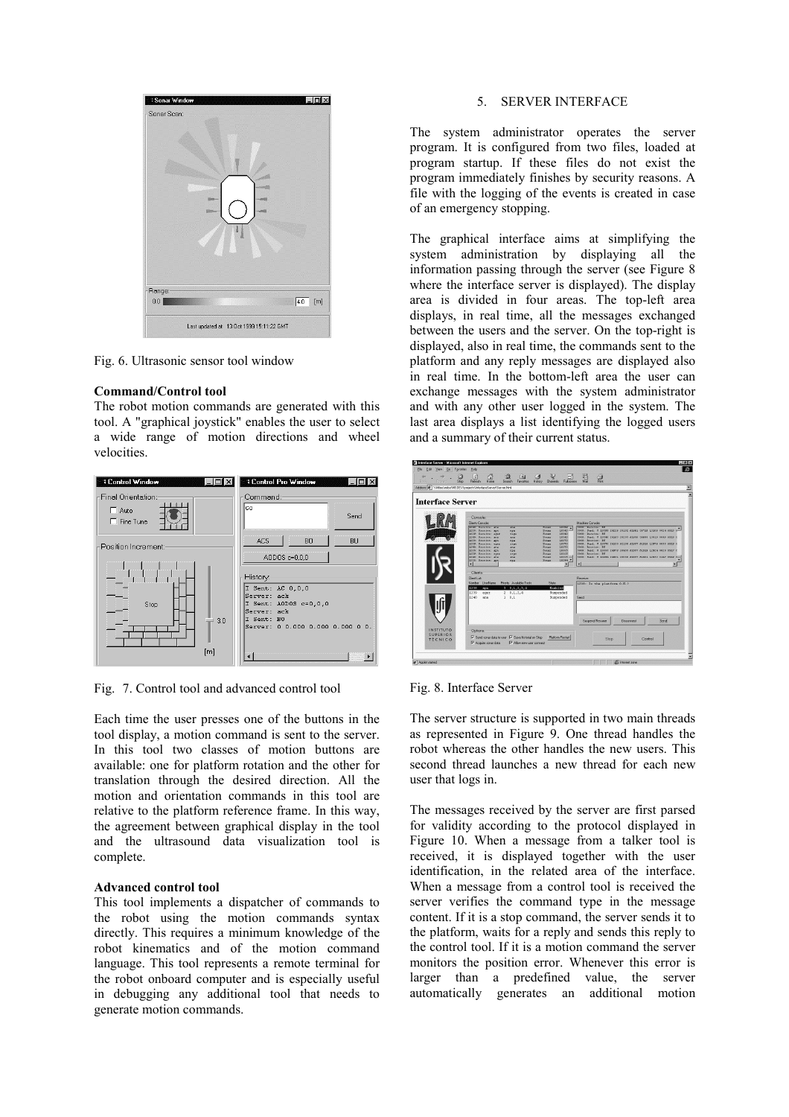

Fig. 6. Ultrasonic sensor tool window

# **Command/Control tool**

The robot motion commands are generated with this tool. A "graphical joystick" enables the user to select a wide range of motion directions and wheel velocities.



Fig. 7. Control tool and advanced control tool

Each time the user presses one of the buttons in the tool display, a motion command is sent to the server. In this tool two classes of motion buttons are available: one for platform rotation and the other for translation through the desired direction. All the motion and orientation commands in this tool are relative to the platform reference frame. In this way, the agreement between graphical display in the tool and the ultrasound data visualization tool is complete.

# **Advanced control tool**

This tool implements a dispatcher of commands to the robot using the motion commands syntax directly. This requires a minimum knowledge of the robot kinematics and of the motion command language. This tool represents a remote terminal for the robot onboard computer and is especially useful in debugging any additional tool that needs to generate motion commands.

#### 5. SERVER INTERFACE

The system administrator operates the server program. It is configured from two files, loaded at program startup. If these files do not exist the program immediately finishes by security reasons. A file with the logging of the events is created in case of an emergency stopping.

The graphical interface aims at simplifying the system administration by displaying all the information passing through the server (see Figure 8 where the interface server is displayed). The display area is divided in four areas. The top-left area displays, in real time, all the messages exchanged between the users and the server. On the top-right is displayed, also in real time, the commands sent to the platform and any reply messages are displayed also in real time. In the bottom-left area the user can exchange messages with the system administrator and with any other user logged in the system. The last area displays a list identifying the logged users and a summary of their current status.



Fig. 8. Interface Server

The server structure is supported in two main threads as represented in Figure 9. One thread handles the robot whereas the other handles the new users. This second thread launches a new thread for each new user that logs in.

The messages received by the server are first parsed for validity according to the protocol displayed in Figure 10. When a message from a talker tool is received, it is displayed together with the user identification, in the related area of the interface. When a message from a control tool is received the server verifies the command type in the message content. If it is a stop command, the server sends it to the platform, waits for a reply and sends this reply to the control tool. If it is a motion command the server monitors the position error. Whenever this error is larger than a predefined value, the server automatically generates an additional motion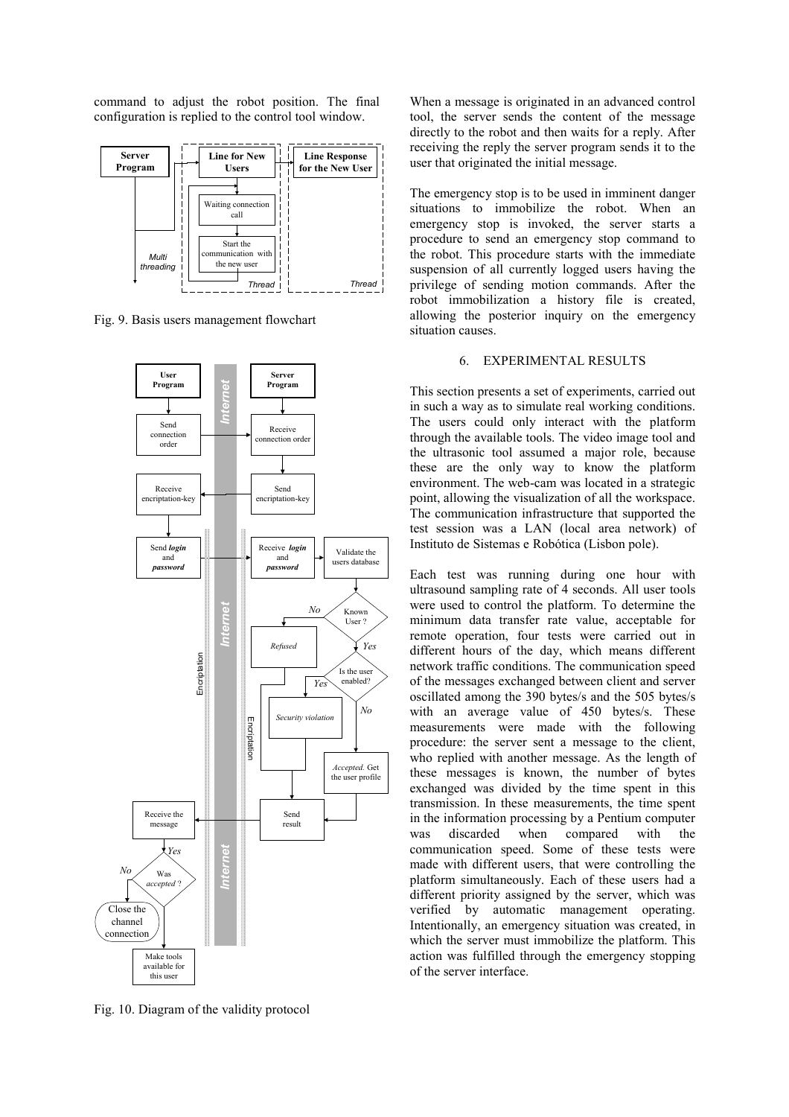command to adjust the robot position. The final configuration is replied to the control tool window.



Fig. 9. Basis users management flowchart



Fig. 10. Diagram of the validity protocol

When a message is originated in an advanced control tool, the server sends the content of the message directly to the robot and then waits for a reply. After receiving the reply the server program sends it to the user that originated the initial message.

The emergency stop is to be used in imminent danger situations to immobilize the robot. When an emergency stop is invoked, the server starts a procedure to send an emergency stop command to the robot. This procedure starts with the immediate suspension of all currently logged users having the privilege of sending motion commands. After the robot immobilization a history file is created, allowing the posterior inquiry on the emergency situation causes.

#### 6. EXPERIMENTAL RESULTS

This section presents a set of experiments, carried out in such a way as to simulate real working conditions. The users could only interact with the platform through the available tools. The video image tool and the ultrasonic tool assumed a major role, because these are the only way to know the platform environment. The web-cam was located in a strategic point, allowing the visualization of all the workspace. The communication infrastructure that supported the test session was a LAN (local area network) of Instituto de Sistemas e Robótica (Lisbon pole).

Each test was running during one hour with ultrasound sampling rate of 4 seconds. All user tools were used to control the platform. To determine the minimum data transfer rate value, acceptable for remote operation, four tests were carried out in different hours of the day, which means different network traffic conditions. The communication speed of the messages exchanged between client and server oscillated among the 390 bytes/s and the 505 bytes/s with an average value of 450 bytes/s. These measurements were made with the following procedure: the server sent a message to the client, who replied with another message. As the length of these messages is known, the number of bytes exchanged was divided by the time spent in this transmission. In these measurements, the time spent in the information processing by a Pentium computer was discarded when compared with the communication speed. Some of these tests were made with different users, that were controlling the platform simultaneously. Each of these users had a different priority assigned by the server, which was verified by automatic management operating. Intentionally, an emergency situation was created, in which the server must immobilize the platform. This action was fulfilled through the emergency stopping of the server interface.